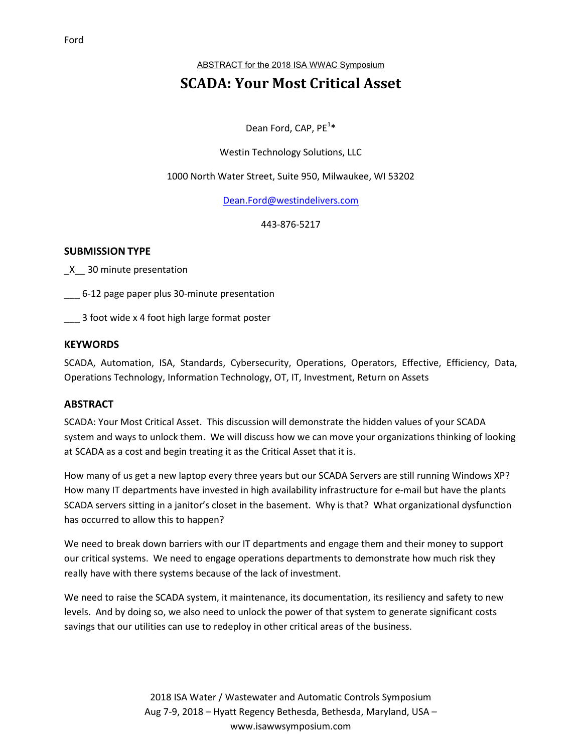ABSTRACT for the 2018 ISA WWAC Symposium

# **SCADA: Your Most Critical Asset**

Dean Ford, CAP, PE<sup>1\*</sup>

## Westin Technology Solutions, LLC

#### 1000 North Water Street, Suite 950, Milwaukee, WI 53202

Dean.Ford@westindelivers.com

443-876-5217

#### **SUBMISSION TYPE**

\_X\_\_ 30 minute presentation

\_\_\_ 6-12 page paper plus 30-minute presentation

\_\_\_ 3 foot wide x 4 foot high large format poster

### **KEYWORDS**

SCADA, Automation, ISA, Standards, Cybersecurity, Operations, Operators, Effective, Efficiency, Data, Operations Technology, Information Technology, OT, IT, Investment, Return on Assets

#### **ABSTRACT**

SCADA: Your Most Critical Asset. This discussion will demonstrate the hidden values of your SCADA system and ways to unlock them. We will discuss how we can move your organizations thinking of looking at SCADA as a cost and begin treating it as the Critical Asset that it is.

How many of us get a new laptop every three years but our SCADA Servers are still running Windows XP? How many IT departments have invested in high availability infrastructure for e-mail but have the plants SCADA servers sitting in a janitor's closet in the basement. Why is that? What organizational dysfunction has occurred to allow this to happen?

We need to break down barriers with our IT departments and engage them and their money to support our critical systems. We need to engage operations departments to demonstrate how much risk they really have with there systems because of the lack of investment.

We need to raise the SCADA system, it maintenance, its documentation, its resiliency and safety to new levels. And by doing so, we also need to unlock the power of that system to generate significant costs savings that our utilities can use to redeploy in other critical areas of the business.

> 2018 ISA Water / Wastewater and Automatic Controls Symposium Aug 7-9, 2018 – Hyatt Regency Bethesda, Bethesda, Maryland, USA – www.isawwsymposium.com